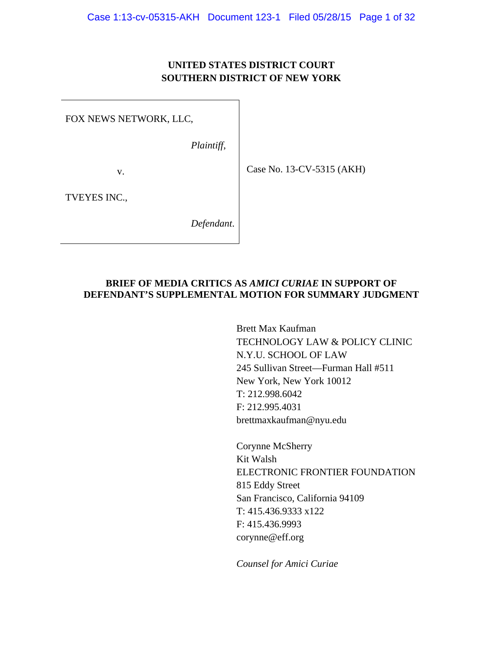## **UNITED STATES DISTRICT COURT SOUTHERN DISTRICT OF NEW YORK**

FOX NEWS NETWORK, LLC,

*Plaintiff*,

v.

Case No. 13-CV-5315 (AKH)

TVEYES INC.,

*Defendant*.

## **BRIEF OF MEDIA CRITICS AS** *AMICI CURIAE* **IN SUPPORT OF DEFENDANT'S SUPPLEMENTAL MOTION FOR SUMMARY JUDGMENT**

Brett Max Kaufman TECHNOLOGY LAW & POLICY CLINIC N.Y.U. SCHOOL OF LAW 245 Sullivan Street—Furman Hall #511 New York, New York 10012 T: 212.998.6042 F: 212.995.4031 brettmaxkaufman@nyu.edu

Corynne McSherry Kit Walsh ELECTRONIC FRONTIER FOUNDATION 815 Eddy Street San Francisco, California 94109 T: 415.436.9333 x122 F: 415.436.9993 corynne@eff.org

*Counsel for Amici Curiae*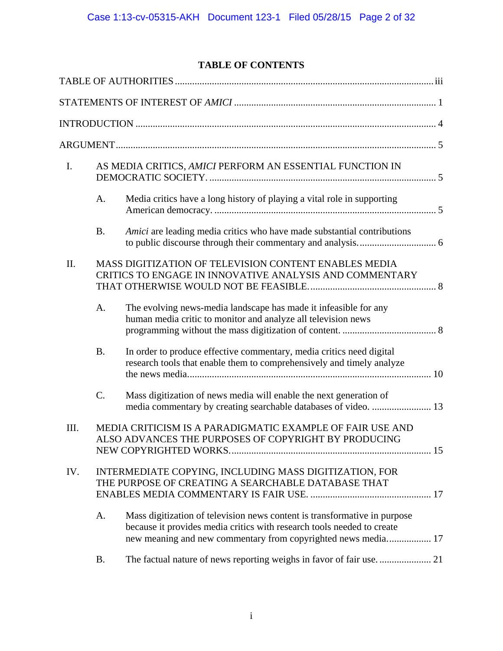# **TABLE OF CONTENTS**

| I.   |           | AS MEDIA CRITICS, AMICI PERFORM AN ESSENTIAL FUNCTION IN                                                                                                                                                             |  |
|------|-----------|----------------------------------------------------------------------------------------------------------------------------------------------------------------------------------------------------------------------|--|
|      | A.        | Media critics have a long history of playing a vital role in supporting                                                                                                                                              |  |
|      | <b>B.</b> | Amici are leading media critics who have made substantial contributions                                                                                                                                              |  |
| II.  |           | MASS DIGITIZATION OF TELEVISION CONTENT ENABLES MEDIA<br>CRITICS TO ENGAGE IN INNOVATIVE ANALYSIS AND COMMENTARY                                                                                                     |  |
|      | A.        | The evolving news-media landscape has made it infeasible for any<br>human media critic to monitor and analyze all television news                                                                                    |  |
|      | <b>B.</b> | In order to produce effective commentary, media critics need digital<br>research tools that enable them to comprehensively and timely analyze                                                                        |  |
|      | $C$ .     | Mass digitization of news media will enable the next generation of<br>media commentary by creating searchable databases of video.  13                                                                                |  |
| III. |           | MEDIA CRITICISM IS A PARADIGMATIC EXAMPLE OF FAIR USE AND<br>ALSO ADVANCES THE PURPOSES OF COPYRIGHT BY PRODUCING                                                                                                    |  |
| IV.  |           | INTERMEDIATE COPYING, INCLUDING MASS DIGITIZATION, FOR<br>THE PURPOSE OF CREATING A SEARCHABLE DATABASE THAT                                                                                                         |  |
|      | A.        | Mass digitization of television news content is transformative in purpose<br>because it provides media critics with research tools needed to create<br>new meaning and new commentary from copyrighted news media 17 |  |
|      | <b>B.</b> |                                                                                                                                                                                                                      |  |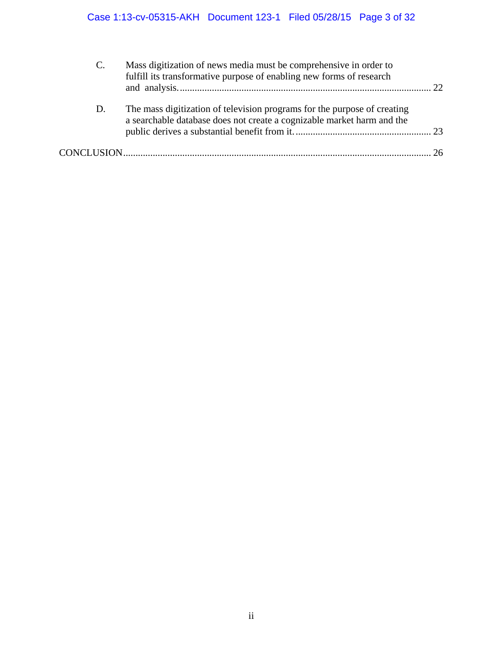| $\mathbf{C}$ . | Mass digitization of news media must be comprehensive in order to<br>fulfill its transformative purpose of enabling new forms of research          | 22 |
|----------------|----------------------------------------------------------------------------------------------------------------------------------------------------|----|
| D.             | The mass digitization of television programs for the purpose of creating<br>a searchable database does not create a cognizable market harm and the |    |
|                |                                                                                                                                                    |    |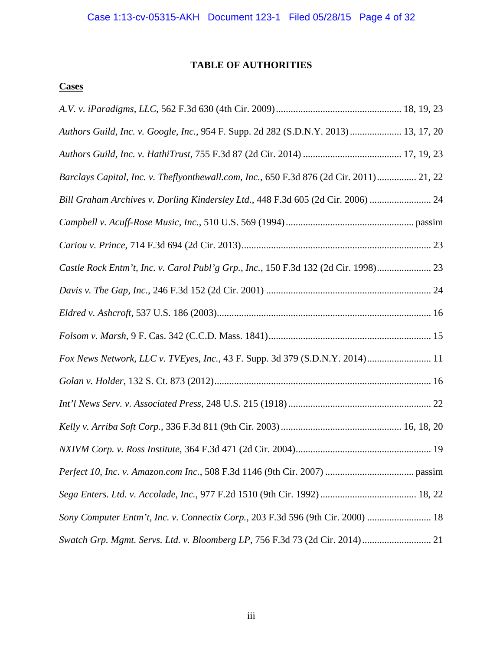## **TABLE OF AUTHORITIES**

## **Cases**

| Authors Guild, Inc. v. Google, Inc., 954 F. Supp. 2d 282 (S.D.N.Y. 2013) 13, 17, 20     |
|-----------------------------------------------------------------------------------------|
|                                                                                         |
| Barclays Capital, Inc. v. Theflyonthewall.com, Inc., 650 F.3d 876 (2d Cir. 2011) 21, 22 |
| Bill Graham Archives v. Dorling Kindersley Ltd., 448 F.3d 605 (2d Cir. 2006)  24        |
|                                                                                         |
|                                                                                         |
| Castle Rock Entm't, Inc. v. Carol Publ'g Grp., Inc., 150 F.3d 132 (2d Cir. 1998) 23     |
|                                                                                         |
|                                                                                         |
|                                                                                         |
| Fox News Network, LLC v. TVEyes, Inc., 43 F. Supp. 3d 379 (S.D.N.Y. 2014) 11            |
|                                                                                         |
|                                                                                         |
|                                                                                         |
|                                                                                         |
|                                                                                         |
|                                                                                         |
| Sony Computer Entm't, Inc. v. Connectix Corp., 203 F.3d 596 (9th Cir. 2000)  18         |
| Swatch Grp. Mgmt. Servs. Ltd. v. Bloomberg LP, 756 F.3d 73 (2d Cir. 2014) 21            |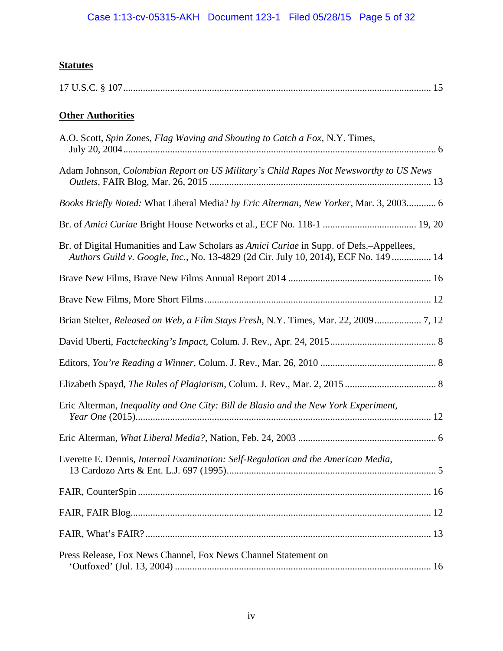# **Statutes**

|--|

# **Other Authorities**

| A.O. Scott, Spin Zones, Flag Waving and Shouting to Catch a Fox, N.Y. Times,                                                                                                   |
|--------------------------------------------------------------------------------------------------------------------------------------------------------------------------------|
| Adam Johnson, Colombian Report on US Military's Child Rapes Not Newsworthy to US News                                                                                          |
| Books Briefly Noted: What Liberal Media? by Eric Alterman, New Yorker, Mar. 3, 2003 6                                                                                          |
|                                                                                                                                                                                |
| Br. of Digital Humanities and Law Scholars as Amici Curiae in Supp. of Defs.-Appellees,<br>Authors Guild v. Google, Inc., No. 13-4829 (2d Cir. July 10, 2014), ECF No. 149  14 |
|                                                                                                                                                                                |
|                                                                                                                                                                                |
| Brian Stelter, Released on Web, a Film Stays Fresh, N.Y. Times, Mar. 22, 2009 7, 12                                                                                            |
|                                                                                                                                                                                |
|                                                                                                                                                                                |
|                                                                                                                                                                                |
| Eric Alterman, Inequality and One City: Bill de Blasio and the New York Experiment,                                                                                            |
|                                                                                                                                                                                |
| Everette E. Dennis, Internal Examination: Self-Regulation and the American Media,                                                                                              |
|                                                                                                                                                                                |
|                                                                                                                                                                                |
|                                                                                                                                                                                |
| Press Release, Fox News Channel, Fox News Channel Statement on                                                                                                                 |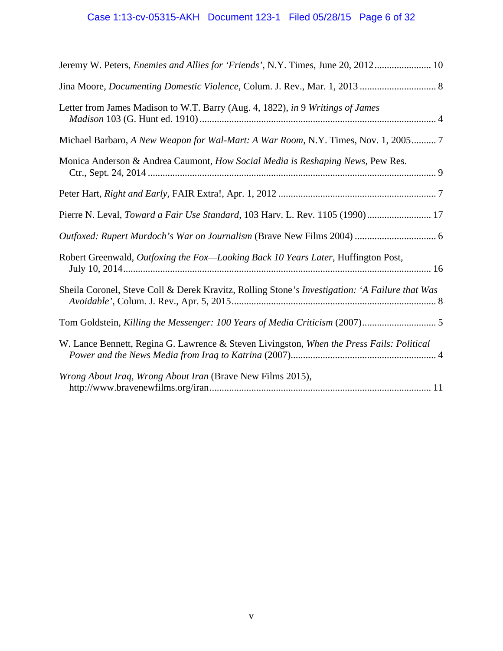# Case 1:13-cv-05315-AKH Document 123-1 Filed 05/28/15 Page 6 of 32

| Jeremy W. Peters, Enemies and Allies for 'Friends', N.Y. Times, June 20, 2012 10               |
|------------------------------------------------------------------------------------------------|
|                                                                                                |
| Letter from James Madison to W.T. Barry (Aug. 4, 1822), in 9 Writings of James                 |
| Michael Barbaro, A New Weapon for Wal-Mart: A War Room, N.Y. Times, Nov. 1, 2005 7             |
| Monica Anderson & Andrea Caumont, How Social Media is Reshaping News, Pew Res.                 |
|                                                                                                |
| Pierre N. Leval, Toward a Fair Use Standard, 103 Harv. L. Rev. 1105 (1990) 17                  |
|                                                                                                |
| Robert Greenwald, Outfoxing the Fox-Looking Back 10 Years Later, Huffington Post,              |
| Sheila Coronel, Steve Coll & Derek Kravitz, Rolling Stone's Investigation: 'A Failure that Was |
| Tom Goldstein, Killing the Messenger: 100 Years of Media Criticism (2007) 5                    |
| W. Lance Bennett, Regina G. Lawrence & Steven Livingston, When the Press Fails: Political      |
| Wrong About Iraq, Wrong About Iran (Brave New Films 2015),                                     |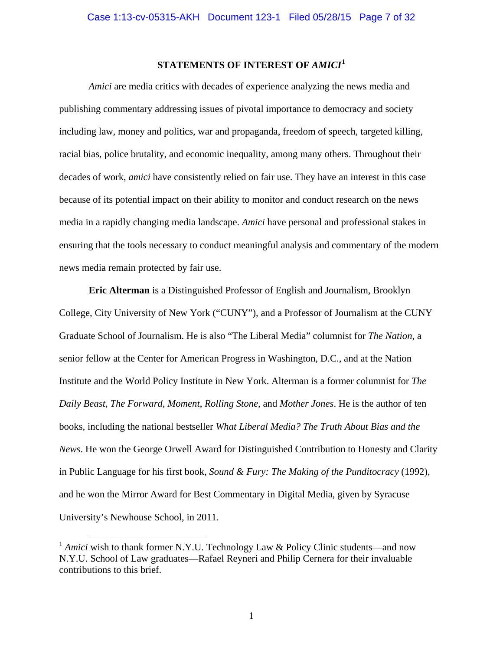## **STATEMENTS OF INTEREST OF** *AMICI***<sup>1</sup>**

*Amici* are media critics with decades of experience analyzing the news media and publishing commentary addressing issues of pivotal importance to democracy and society including law, money and politics, war and propaganda, freedom of speech, targeted killing, racial bias, police brutality, and economic inequality, among many others. Throughout their decades of work, *amici* have consistently relied on fair use. They have an interest in this case because of its potential impact on their ability to monitor and conduct research on the news media in a rapidly changing media landscape. *Amici* have personal and professional stakes in ensuring that the tools necessary to conduct meaningful analysis and commentary of the modern news media remain protected by fair use.

**Eric Alterman** is a Distinguished Professor of English and Journalism, Brooklyn College, City University of New York ("CUNY"), and a Professor of Journalism at the CUNY Graduate School of Journalism. He is also "The Liberal Media" columnist for *The Nation*, a senior fellow at the Center for American Progress in Washington, D.C., and at the Nation Institute and the World Policy Institute in New York. Alterman is a former columnist for *The Daily Beast*, *The Forward*, *Moment*, *Rolling Stone*, and *Mother Jones*. He is the author of ten books, including the national bestseller *What Liberal Media? The Truth About Bias and the News*. He won the George Orwell Award for Distinguished Contribution to Honesty and Clarity in Public Language for his first book, *Sound & Fury: The Making of the Punditocracy* (1992), and he won the Mirror Award for Best Commentary in Digital Media, given by Syracuse University's Newhouse School, in 2011.

 $\overline{a}$ 

<sup>&</sup>lt;sup>1</sup> *Amici* wish to thank former N.Y.U. Technology Law & Policy Clinic students—and now N.Y.U. School of Law graduates—Rafael Reyneri and Philip Cernera for their invaluable contributions to this brief.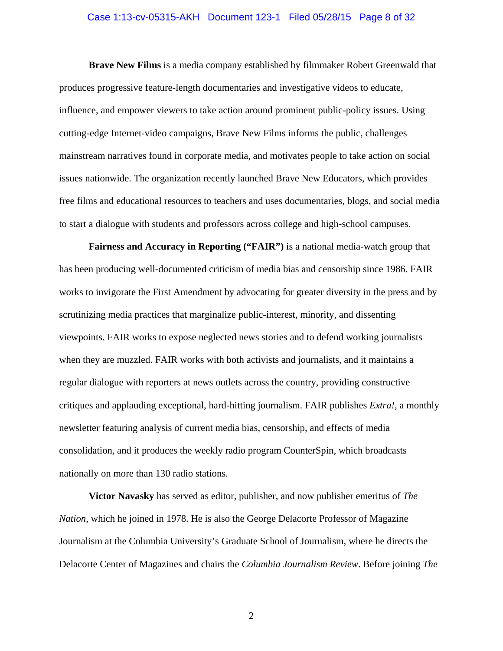#### Case 1:13-cv-05315-AKH Document 123-1 Filed 05/28/15 Page 8 of 32

**Brave New Films** is a media company established by filmmaker Robert Greenwald that produces progressive feature-length documentaries and investigative videos to educate, influence, and empower viewers to take action around prominent public-policy issues. Using cutting-edge Internet-video campaigns, Brave New Films informs the public, challenges mainstream narratives found in corporate media, and motivates people to take action on social issues nationwide. The organization recently launched Brave New Educators, which provides free films and educational resources to teachers and uses documentaries, blogs, and social media to start a dialogue with students and professors across college and high-school campuses.

**Fairness and Accuracy in Reporting ("FAIR")** is a national media-watch group that has been producing well-documented criticism of media bias and censorship since 1986. FAIR works to invigorate the First Amendment by advocating for greater diversity in the press and by scrutinizing media practices that marginalize public-interest, minority, and dissenting viewpoints. FAIR works to expose neglected news stories and to defend working journalists when they are muzzled. FAIR works with both activists and journalists, and it maintains a regular dialogue with reporters at news outlets across the country, providing constructive critiques and applauding exceptional, hard-hitting journalism. FAIR publishes *Extra!*, a monthly newsletter featuring analysis of current media bias, censorship, and effects of media consolidation, and it produces the weekly radio program CounterSpin, which broadcasts nationally on more than 130 radio stations.

**Victor Navasky** has served as editor, publisher, and now publisher emeritus of *The Nation*, which he joined in 1978. He is also the George Delacorte Professor of Magazine Journalism at the Columbia University's Graduate School of Journalism, where he directs the Delacorte Center of Magazines and chairs the *Columbia Journalism Review*. Before joining *The*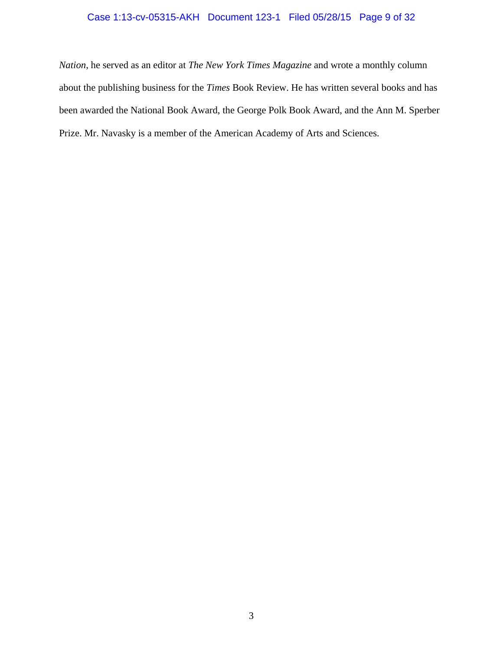## Case 1:13-cv-05315-AKH Document 123-1 Filed 05/28/15 Page 9 of 32

*Nation*, he served as an editor at *The New York Times Magazine* and wrote a monthly column about the publishing business for the *Times* Book Review. He has written several books and has been awarded the National Book Award, the George Polk Book Award, and the Ann M. Sperber Prize. Mr. Navasky is a member of the American Academy of Arts and Sciences.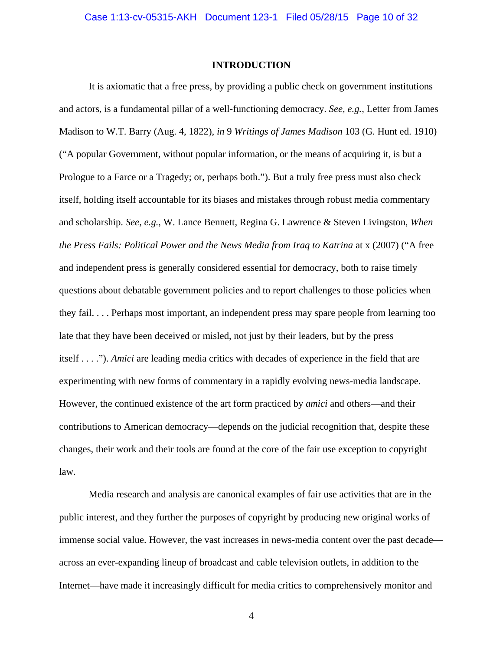#### **INTRODUCTION**

It is axiomatic that a free press, by providing a public check on government institutions and actors, is a fundamental pillar of a well-functioning democracy. *See, e.g.*, Letter from James Madison to W.T. Barry (Aug. 4, 1822), *in* 9 *Writings of James Madison* 103 (G. Hunt ed. 1910) ("A popular Government, without popular information, or the means of acquiring it, is but a Prologue to a Farce or a Tragedy; or, perhaps both."). But a truly free press must also check itself, holding itself accountable for its biases and mistakes through robust media commentary and scholarship. *See, e.g.*, W. Lance Bennett, Regina G. Lawrence & Steven Livingston, *When the Press Fails: Political Power and the News Media from Iraq to Katrina* at x (2007) ("A free and independent press is generally considered essential for democracy, both to raise timely questions about debatable government policies and to report challenges to those policies when they fail. . . . Perhaps most important, an independent press may spare people from learning too late that they have been deceived or misled, not just by their leaders, but by the press itself . . . ."). *Amici* are leading media critics with decades of experience in the field that are experimenting with new forms of commentary in a rapidly evolving news-media landscape. However, the continued existence of the art form practiced by *amici* and others—and their contributions to American democracy—depends on the judicial recognition that, despite these changes, their work and their tools are found at the core of the fair use exception to copyright law.

Media research and analysis are canonical examples of fair use activities that are in the public interest, and they further the purposes of copyright by producing new original works of immense social value. However, the vast increases in news-media content over the past decade across an ever-expanding lineup of broadcast and cable television outlets, in addition to the Internet—have made it increasingly difficult for media critics to comprehensively monitor and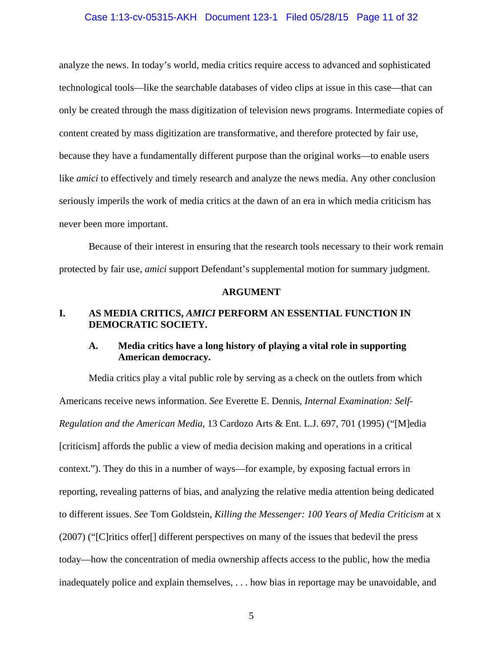#### Case 1:13-cv-05315-AKH Document 123-1 Filed 05/28/15 Page 11 of 32

analyze the news. In today's world, media critics require access to advanced and sophisticated technological tools—like the searchable databases of video clips at issue in this case—that can only be created through the mass digitization of television news programs. Intermediate copies of content created by mass digitization are transformative, and therefore protected by fair use, because they have a fundamentally different purpose than the original works—to enable users like *amici* to effectively and timely research and analyze the news media. Any other conclusion seriously imperils the work of media critics at the dawn of an era in which media criticism has never been more important.

Because of their interest in ensuring that the research tools necessary to their work remain protected by fair use, *amici* support Defendant's supplemental motion for summary judgment.

#### **ARGUMENT**

## **I. AS MEDIA CRITICS,** *AMICI* **PERFORM AN ESSENTIAL FUNCTION IN DEMOCRATIC SOCIETY.**

## **A. Media critics have a long history of playing a vital role in supporting American democracy.**

Media critics play a vital public role by serving as a check on the outlets from which Americans receive news information. *See* Everette E. Dennis, *Internal Examination: Self-Regulation and the American Media*, 13 Cardozo Arts & Ent. L.J. 697, 701 (1995) ("[M]edia [criticism] affords the public a view of media decision making and operations in a critical context."). They do this in a number of ways—for example, by exposing factual errors in reporting, revealing patterns of bias, and analyzing the relative media attention being dedicated to different issues. *See* Tom Goldstein, *Killing the Messenger: 100 Years of Media Criticism* at x (2007) ("[C]ritics offer[] different perspectives on many of the issues that bedevil the press today—how the concentration of media ownership affects access to the public, how the media inadequately police and explain themselves, . . . how bias in reportage may be unavoidable, and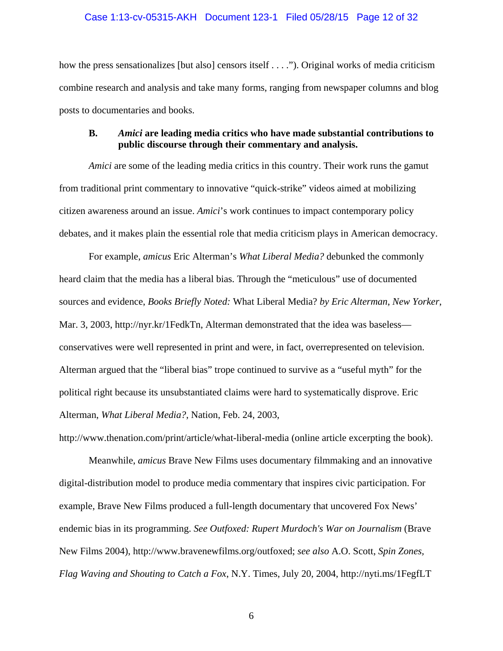#### Case 1:13-cv-05315-AKH Document 123-1 Filed 05/28/15 Page 12 of 32

how the press sensationalizes [but also] censors itself . . . ."). Original works of media criticism combine research and analysis and take many forms, ranging from newspaper columns and blog posts to documentaries and books.

## **B.** *Amici* **are leading media critics who have made substantial contributions to public discourse through their commentary and analysis.**

*Amici* are some of the leading media critics in this country. Their work runs the gamut from traditional print commentary to innovative "quick-strike" videos aimed at mobilizing citizen awareness around an issue. *Amici*'s work continues to impact contemporary policy debates, and it makes plain the essential role that media criticism plays in American democracy.

For example, *amicus* Eric Alterman's *What Liberal Media?* debunked the commonly heard claim that the media has a liberal bias. Through the "meticulous" use of documented sources and evidence, *Books Briefly Noted:* What Liberal Media? *by Eric Alterman*, *New Yorker*, Mar. 3, 2003, http://nyr.kr/1FedkTn, Alterman demonstrated that the idea was baseless conservatives were well represented in print and were, in fact, overrepresented on television. Alterman argued that the "liberal bias" trope continued to survive as a "useful myth" for the political right because its unsubstantiated claims were hard to systematically disprove. Eric Alterman, *What Liberal Media?*, Nation, Feb. 24, 2003,

http://www.thenation.com/print/article/what-liberal-media (online article excerpting the book).

Meanwhile, *amicus* Brave New Films uses documentary filmmaking and an innovative digital-distribution model to produce media commentary that inspires civic participation. For example, Brave New Films produced a full-length documentary that uncovered Fox News' endemic bias in its programming. *See Outfoxed: Rupert Murdoch's War on Journalism* (Brave New Films 2004), http://www.bravenewfilms.org/outfoxed; *see also* A.O. Scott, *Spin Zones, Flag Waving and Shouting to Catch a Fox*, N.Y. Times, July 20, 2004, http://nyti.ms/1FegfLT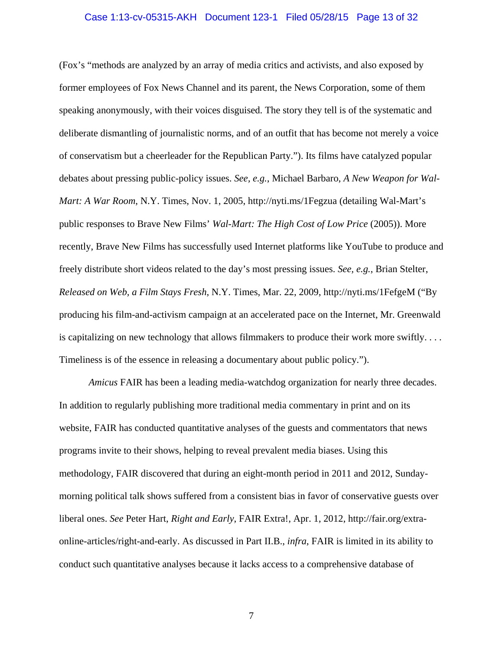#### Case 1:13-cv-05315-AKH Document 123-1 Filed 05/28/15 Page 13 of 32

(Fox's "methods are analyzed by an array of media critics and activists, and also exposed by former employees of Fox News Channel and its parent, the News Corporation, some of them speaking anonymously, with their voices disguised. The story they tell is of the systematic and deliberate dismantling of journalistic norms, and of an outfit that has become not merely a voice of conservatism but a cheerleader for the Republican Party."). Its films have catalyzed popular debates about pressing public-policy issues. *See, e.g.*, Michael Barbaro, *A New Weapon for Wal-Mart: A War Room*, N.Y. Times, Nov. 1, 2005, http://nyti.ms/1Fegzua (detailing Wal-Mart's public responses to Brave New Films' *Wal-Mart: The High Cost of Low Price* (2005)). More recently, Brave New Films has successfully used Internet platforms like YouTube to produce and freely distribute short videos related to the day's most pressing issues. *See, e.g.*, Brian Stelter, *Released on Web, a Film Stays Fresh*, N.Y. Times, Mar. 22, 2009, http://nyti.ms/1FefgeM ("By producing his film-and-activism campaign at an accelerated pace on the Internet, Mr. Greenwald is capitalizing on new technology that allows filmmakers to produce their work more swiftly. . . . Timeliness is of the essence in releasing a documentary about public policy.").

*Amicus* FAIR has been a leading media-watchdog organization for nearly three decades. In addition to regularly publishing more traditional media commentary in print and on its website, FAIR has conducted quantitative analyses of the guests and commentators that news programs invite to their shows, helping to reveal prevalent media biases. Using this methodology, FAIR discovered that during an eight-month period in 2011 and 2012, Sundaymorning political talk shows suffered from a consistent bias in favor of conservative guests over liberal ones. *See* Peter Hart, *Right and Early*, FAIR Extra!, Apr. 1, 2012, http://fair.org/extraonline-articles/right-and-early. As discussed in Part II.B., *infra*, FAIR is limited in its ability to conduct such quantitative analyses because it lacks access to a comprehensive database of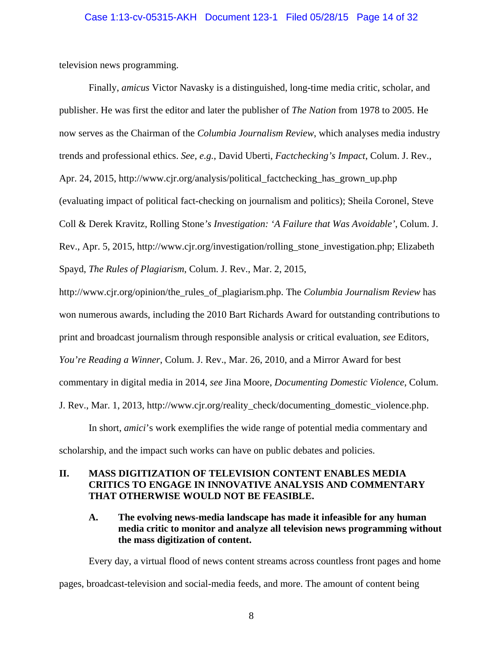television news programming.

Finally, *amicus* Victor Navasky is a distinguished, long-time media critic, scholar, and publisher. He was first the editor and later the publisher of *The Nation* from 1978 to 2005. He now serves as the Chairman of the *Columbia Journalism Review*, which analyses media industry trends and professional ethics. *See, e.g.*, David Uberti, *Factchecking's Impact*, Colum. J. Rev., Apr. 24, 2015, http://www.cjr.org/analysis/political\_factchecking\_has\_grown\_up.php (evaluating impact of political fact-checking on journalism and politics); Sheila Coronel, Steve Coll & Derek Kravitz, Rolling Stone*'s Investigation: 'A Failure that Was Avoidable'*, Colum. J. Rev., Apr. 5, 2015, http://www.cjr.org/investigation/rolling\_stone\_investigation.php; Elizabeth Spayd, *The Rules of Plagiarism*, Colum. J. Rev., Mar. 2, 2015, http://www.cjr.org/opinion/the\_rules\_of\_plagiarism.php. The *Columbia Journalism Review* has won numerous awards, including the 2010 Bart Richards Award for outstanding contributions to print and broadcast journalism through responsible analysis or critical evaluation, *see* Editors, *You're Reading a Winner*, Colum. J. Rev., Mar. 26, 2010, and a Mirror Award for best

commentary in digital media in 2014, *see* Jina Moore, *Documenting Domestic Violence*, Colum.

J. Rev., Mar. 1, 2013, http://www.cjr.org/reality\_check/documenting\_domestic\_violence.php.

In short, *amici*'s work exemplifies the wide range of potential media commentary and scholarship, and the impact such works can have on public debates and policies.

## **II. MASS DIGITIZATION OF TELEVISION CONTENT ENABLES MEDIA CRITICS TO ENGAGE IN INNOVATIVE ANALYSIS AND COMMENTARY THAT OTHERWISE WOULD NOT BE FEASIBLE.**

## **A. The evolving news-media landscape has made it infeasible for any human media critic to monitor and analyze all television news programming without the mass digitization of content.**

Every day, a virtual flood of news content streams across countless front pages and home pages, broadcast-television and social-media feeds, and more. The amount of content being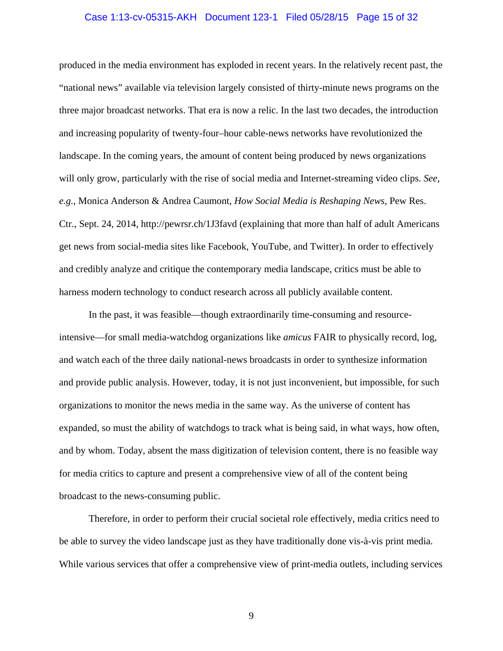#### Case 1:13-cv-05315-AKH Document 123-1 Filed 05/28/15 Page 15 of 32

produced in the media environment has exploded in recent years. In the relatively recent past, the "national news" available via television largely consisted of thirty-minute news programs on the three major broadcast networks. That era is now a relic. In the last two decades, the introduction and increasing popularity of twenty-four–hour cable-news networks have revolutionized the landscape. In the coming years, the amount of content being produced by news organizations will only grow, particularly with the rise of social media and Internet-streaming video clips. *See, e.g.*, Monica Anderson & Andrea Caumont, *How Social Media is Reshaping News*, Pew Res. Ctr., Sept. 24, 2014, http://pewrsr.ch/1J3favd (explaining that more than half of adult Americans get news from social-media sites like Facebook, YouTube, and Twitter). In order to effectively and credibly analyze and critique the contemporary media landscape, critics must be able to harness modern technology to conduct research across all publicly available content.

In the past, it was feasible—though extraordinarily time-consuming and resourceintensive—for small media-watchdog organizations like *amicus* FAIR to physically record, log, and watch each of the three daily national-news broadcasts in order to synthesize information and provide public analysis. However, today, it is not just inconvenient, but impossible, for such organizations to monitor the news media in the same way. As the universe of content has expanded, so must the ability of watchdogs to track what is being said, in what ways, how often, and by whom. Today, absent the mass digitization of television content, there is no feasible way for media critics to capture and present a comprehensive view of all of the content being broadcast to the news-consuming public.

Therefore, in order to perform their crucial societal role effectively, media critics need to be able to survey the video landscape just as they have traditionally done vis-à-vis print media. While various services that offer a comprehensive view of print-media outlets, including services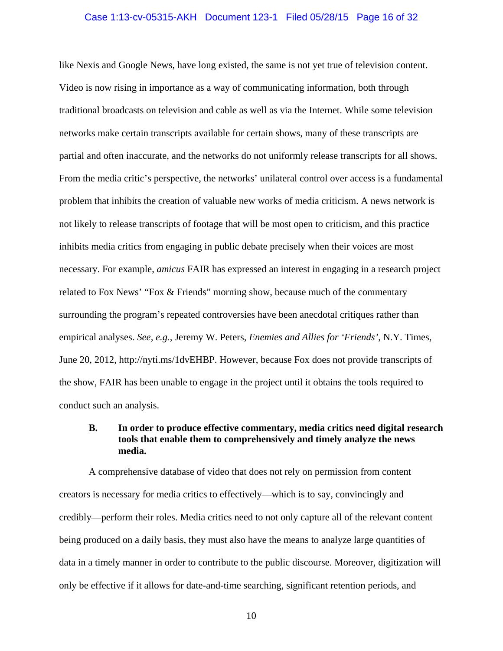#### Case 1:13-cv-05315-AKH Document 123-1 Filed 05/28/15 Page 16 of 32

like Nexis and Google News, have long existed, the same is not yet true of television content. Video is now rising in importance as a way of communicating information, both through traditional broadcasts on television and cable as well as via the Internet. While some television networks make certain transcripts available for certain shows, many of these transcripts are partial and often inaccurate, and the networks do not uniformly release transcripts for all shows. From the media critic's perspective, the networks' unilateral control over access is a fundamental problem that inhibits the creation of valuable new works of media criticism. A news network is not likely to release transcripts of footage that will be most open to criticism, and this practice inhibits media critics from engaging in public debate precisely when their voices are most necessary. For example, *amicus* FAIR has expressed an interest in engaging in a research project related to Fox News' "Fox & Friends" morning show, because much of the commentary surrounding the program's repeated controversies have been anecdotal critiques rather than empirical analyses. *See, e.g.*, Jeremy W. Peters, *Enemies and Allies for 'Friends'*, N.Y. Times, June 20, 2012, http://nyti.ms/1dvEHBP. However, because Fox does not provide transcripts of the show, FAIR has been unable to engage in the project until it obtains the tools required to conduct such an analysis.

## **B. In order to produce effective commentary, media critics need digital research tools that enable them to comprehensively and timely analyze the news media.**

A comprehensive database of video that does not rely on permission from content creators is necessary for media critics to effectively—which is to say, convincingly and credibly—perform their roles. Media critics need to not only capture all of the relevant content being produced on a daily basis, they must also have the means to analyze large quantities of data in a timely manner in order to contribute to the public discourse. Moreover, digitization will only be effective if it allows for date-and-time searching, significant retention periods, and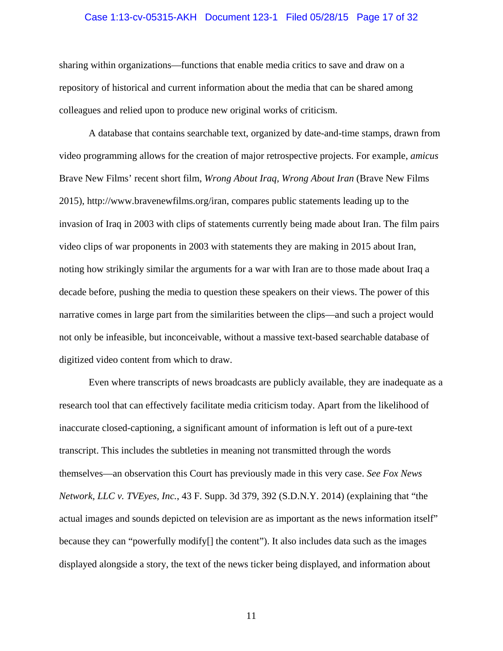#### Case 1:13-cv-05315-AKH Document 123-1 Filed 05/28/15 Page 17 of 32

sharing within organizations—functions that enable media critics to save and draw on a repository of historical and current information about the media that can be shared among colleagues and relied upon to produce new original works of criticism.

A database that contains searchable text, organized by date-and-time stamps, drawn from video programming allows for the creation of major retrospective projects. For example, *amicus*  Brave New Films' recent short film, *Wrong About Iraq, Wrong About Iran* (Brave New Films 2015), http://www.bravenewfilms.org/iran, compares public statements leading up to the invasion of Iraq in 2003 with clips of statements currently being made about Iran. The film pairs video clips of war proponents in 2003 with statements they are making in 2015 about Iran, noting how strikingly similar the arguments for a war with Iran are to those made about Iraq a decade before, pushing the media to question these speakers on their views. The power of this narrative comes in large part from the similarities between the clips—and such a project would not only be infeasible, but inconceivable, without a massive text-based searchable database of digitized video content from which to draw.

Even where transcripts of news broadcasts are publicly available, they are inadequate as a research tool that can effectively facilitate media criticism today. Apart from the likelihood of inaccurate closed-captioning, a significant amount of information is left out of a pure-text transcript. This includes the subtleties in meaning not transmitted through the words themselves—an observation this Court has previously made in this very case. *See Fox News Network, LLC v. TVEyes, Inc.*, 43 F. Supp. 3d 379, 392 (S.D.N.Y. 2014) (explaining that "the actual images and sounds depicted on television are as important as the news information itself" because they can "powerfully modify[] the content"). It also includes data such as the images displayed alongside a story, the text of the news ticker being displayed, and information about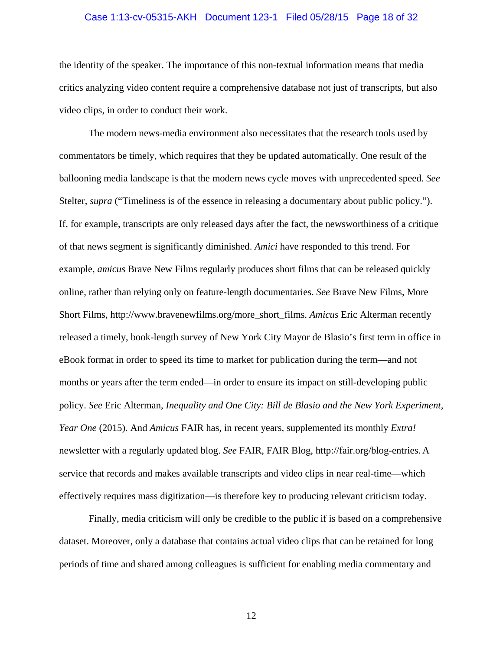#### Case 1:13-cv-05315-AKH Document 123-1 Filed 05/28/15 Page 18 of 32

the identity of the speaker. The importance of this non-textual information means that media critics analyzing video content require a comprehensive database not just of transcripts, but also video clips, in order to conduct their work.

The modern news-media environment also necessitates that the research tools used by commentators be timely, which requires that they be updated automatically. One result of the ballooning media landscape is that the modern news cycle moves with unprecedented speed. *See*  Stelter, *supra* ("Timeliness is of the essence in releasing a documentary about public policy."). If, for example, transcripts are only released days after the fact, the newsworthiness of a critique of that news segment is significantly diminished. *Amici* have responded to this trend. For example, *amicus* Brave New Films regularly produces short films that can be released quickly online, rather than relying only on feature-length documentaries. *See* Brave New Films, More Short Films, http://www.bravenewfilms.org/more\_short\_films. *Amicus* Eric Alterman recently released a timely, book-length survey of New York City Mayor de Blasio's first term in office in eBook format in order to speed its time to market for publication during the term—and not months or years after the term ended—in order to ensure its impact on still-developing public policy. *See* Eric Alterman, *Inequality and One City: Bill de Blasio and the New York Experiment, Year One* (2015). And *Amicus* FAIR has, in recent years, supplemented its monthly *Extra!* newsletter with a regularly updated blog. *See* FAIR, FAIR Blog, http://fair.org/blog-entries. A service that records and makes available transcripts and video clips in near real-time—which effectively requires mass digitization—is therefore key to producing relevant criticism today.

Finally, media criticism will only be credible to the public if is based on a comprehensive dataset. Moreover, only a database that contains actual video clips that can be retained for long periods of time and shared among colleagues is sufficient for enabling media commentary and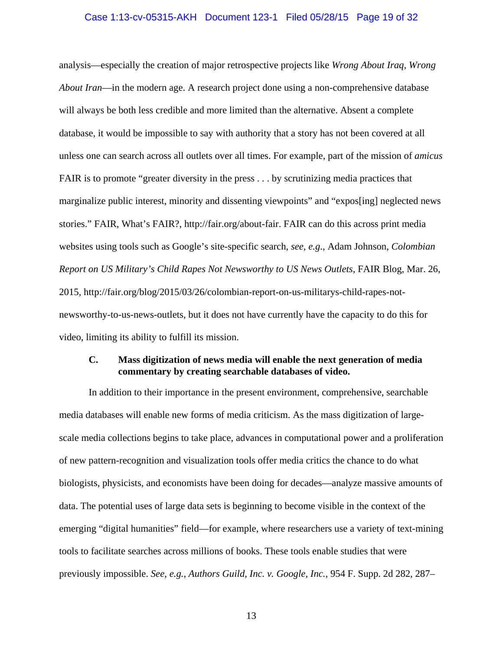#### Case 1:13-cv-05315-AKH Document 123-1 Filed 05/28/15 Page 19 of 32

analysis—especially the creation of major retrospective projects like *Wrong About Iraq, Wrong About Iran*—in the modern age. A research project done using a non-comprehensive database will always be both less credible and more limited than the alternative. Absent a complete database, it would be impossible to say with authority that a story has not been covered at all unless one can search across all outlets over all times. For example, part of the mission of *amicus*  FAIR is to promote "greater diversity in the press . . . by scrutinizing media practices that marginalize public interest, minority and dissenting viewpoints" and "expos[ing] neglected news stories." FAIR, What's FAIR?, http://fair.org/about-fair. FAIR can do this across print media websites using tools such as Google's site-specific search, *see, e.g.*, Adam Johnson, *Colombian Report on US Military's Child Rapes Not Newsworthy to US News Outlets*, FAIR Blog, Mar. 26, 2015, http://fair.org/blog/2015/03/26/colombian-report-on-us-militarys-child-rapes-notnewsworthy-to-us-news-outlets, but it does not have currently have the capacity to do this for video, limiting its ability to fulfill its mission.

## **C. Mass digitization of news media will enable the next generation of media commentary by creating searchable databases of video.**

In addition to their importance in the present environment, comprehensive, searchable media databases will enable new forms of media criticism. As the mass digitization of largescale media collections begins to take place, advances in computational power and a proliferation of new pattern-recognition and visualization tools offer media critics the chance to do what biologists, physicists, and economists have been doing for decades—analyze massive amounts of data. The potential uses of large data sets is beginning to become visible in the context of the emerging "digital humanities" field—for example, where researchers use a variety of text-mining tools to facilitate searches across millions of books. These tools enable studies that were previously impossible. *See, e.g.*, *Authors Guild, Inc. v. Google, Inc.*, 954 F. Supp. 2d 282, 287–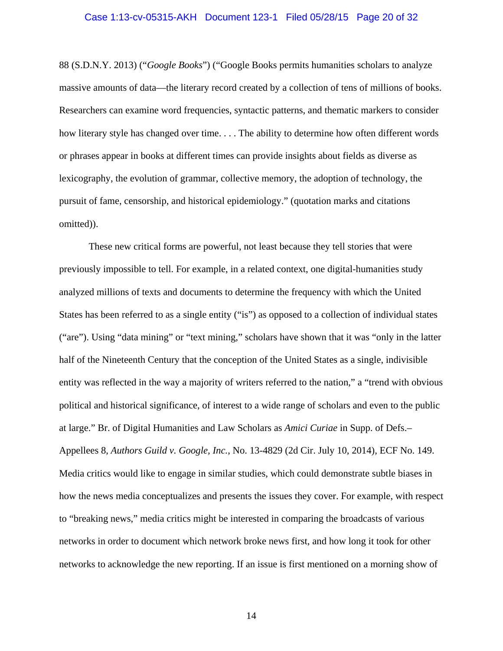#### Case 1:13-cv-05315-AKH Document 123-1 Filed 05/28/15 Page 20 of 32

88 (S.D.N.Y. 2013) ("*Google Books*") ("Google Books permits humanities scholars to analyze massive amounts of data—the literary record created by a collection of tens of millions of books. Researchers can examine word frequencies, syntactic patterns, and thematic markers to consider how literary style has changed over time. . . . The ability to determine how often different words or phrases appear in books at different times can provide insights about fields as diverse as lexicography, the evolution of grammar, collective memory, the adoption of technology, the pursuit of fame, censorship, and historical epidemiology." (quotation marks and citations omitted)).

These new critical forms are powerful, not least because they tell stories that were previously impossible to tell. For example, in a related context, one digital-humanities study analyzed millions of texts and documents to determine the frequency with which the United States has been referred to as a single entity ("is") as opposed to a collection of individual states ("are"). Using "data mining" or "text mining," scholars have shown that it was "only in the latter half of the Nineteenth Century that the conception of the United States as a single, indivisible entity was reflected in the way a majority of writers referred to the nation," a "trend with obvious political and historical significance, of interest to a wide range of scholars and even to the public at large." Br. of Digital Humanities and Law Scholars as *Amici Curiae* in Supp. of Defs.– Appellees 8, *Authors Guild v. Google, Inc.*, No. 13-4829 (2d Cir. July 10, 2014), ECF No. 149. Media critics would like to engage in similar studies, which could demonstrate subtle biases in how the news media conceptualizes and presents the issues they cover. For example, with respect to "breaking news," media critics might be interested in comparing the broadcasts of various networks in order to document which network broke news first, and how long it took for other networks to acknowledge the new reporting. If an issue is first mentioned on a morning show of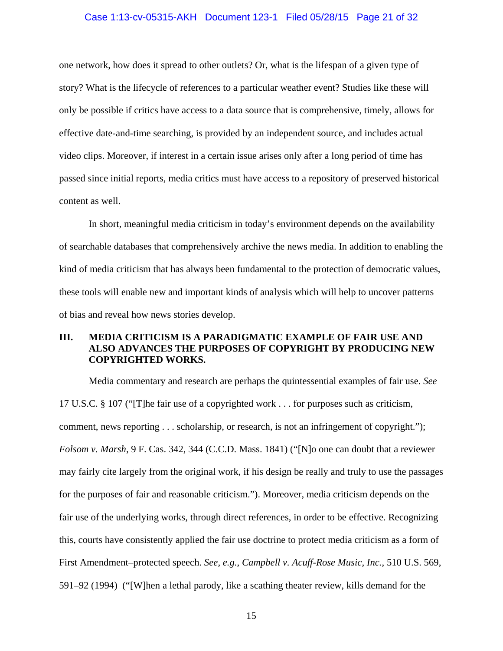#### Case 1:13-cv-05315-AKH Document 123-1 Filed 05/28/15 Page 21 of 32

one network, how does it spread to other outlets? Or, what is the lifespan of a given type of story? What is the lifecycle of references to a particular weather event? Studies like these will only be possible if critics have access to a data source that is comprehensive, timely, allows for effective date-and-time searching, is provided by an independent source, and includes actual video clips. Moreover, if interest in a certain issue arises only after a long period of time has passed since initial reports, media critics must have access to a repository of preserved historical content as well.

In short, meaningful media criticism in today's environment depends on the availability of searchable databases that comprehensively archive the news media. In addition to enabling the kind of media criticism that has always been fundamental to the protection of democratic values, these tools will enable new and important kinds of analysis which will help to uncover patterns of bias and reveal how news stories develop.

## **III. MEDIA CRITICISM IS A PARADIGMATIC EXAMPLE OF FAIR USE AND ALSO ADVANCES THE PURPOSES OF COPYRIGHT BY PRODUCING NEW COPYRIGHTED WORKS.**

Media commentary and research are perhaps the quintessential examples of fair use. *See*  17 U.S.C. § 107 ("[T]he fair use of a copyrighted work . . . for purposes such as criticism, comment, news reporting . . . scholarship, or research, is not an infringement of copyright."); *Folsom v. Marsh*, 9 F. Cas. 342, 344 (C.C.D. Mass. 1841) ("[N]o one can doubt that a reviewer may fairly cite largely from the original work, if his design be really and truly to use the passages for the purposes of fair and reasonable criticism."). Moreover, media criticism depends on the fair use of the underlying works, through direct references, in order to be effective. Recognizing this, courts have consistently applied the fair use doctrine to protect media criticism as a form of First Amendment–protected speech. *See, e.g.*, *Campbell v. Acuff-Rose Music, Inc.*, 510 U.S. 569, 591–92 (1994) ("[W]hen a lethal parody, like a scathing theater review, kills demand for the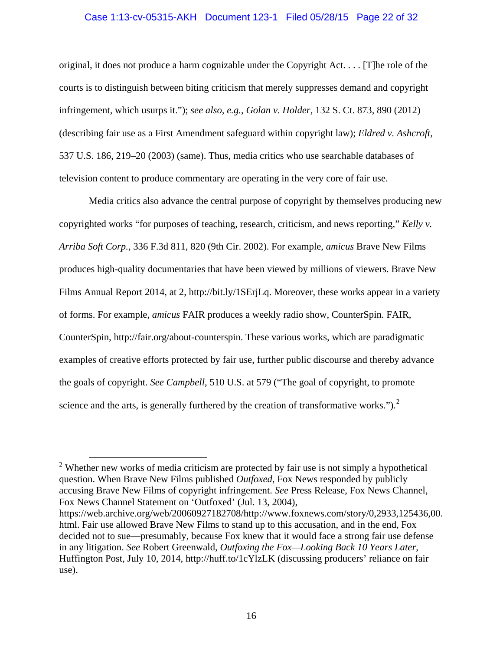## Case 1:13-cv-05315-AKH Document 123-1 Filed 05/28/15 Page 22 of 32

original, it does not produce a harm cognizable under the Copyright Act. . . . [T]he role of the courts is to distinguish between biting criticism that merely suppresses demand and copyright infringement, which usurps it."); *see also, e.g.*, *Golan v. Holder*, 132 S. Ct. 873, 890 (2012) (describing fair use as a First Amendment safeguard within copyright law); *Eldred v. Ashcroft*, 537 U.S. 186, 219–20 (2003) (same). Thus, media critics who use searchable databases of television content to produce commentary are operating in the very core of fair use.

Media critics also advance the central purpose of copyright by themselves producing new copyrighted works "for purposes of teaching, research, criticism, and news reporting," *Kelly v. Arriba Soft Corp.*, 336 F.3d 811, 820 (9th Cir. 2002). For example, *amicus* Brave New Films produces high-quality documentaries that have been viewed by millions of viewers. Brave New Films Annual Report 2014, at 2, http://bit.ly/1SErjLq. Moreover, these works appear in a variety of forms. For example, *amicus* FAIR produces a weekly radio show, CounterSpin. FAIR, CounterSpin, http://fair.org/about-counterspin. These various works, which are paradigmatic examples of creative efforts protected by fair use, further public discourse and thereby advance the goals of copyright. *See Campbell*, 510 U.S. at 579 ("The goal of copyright, to promote science and the arts, is generally furthered by the creation of transformative works." $)$ .<sup>2</sup>

 $\overline{a}$ 

<sup>&</sup>lt;sup>2</sup> Whether new works of media criticism are protected by fair use is not simply a hypothetical question. When Brave New Films published *Outfoxed*, Fox News responded by publicly accusing Brave New Films of copyright infringement. *See* Press Release, Fox News Channel, Fox News Channel Statement on 'Outfoxed' (Jul. 13, 2004),

https://web.archive.org/web/20060927182708/http://www.foxnews.com/story/0,2933,125436,00. html. Fair use allowed Brave New Films to stand up to this accusation, and in the end, Fox decided not to sue—presumably, because Fox knew that it would face a strong fair use defense in any litigation. *See* Robert Greenwald, *Outfoxing the Fox—Looking Back 10 Years Later*, Huffington Post, July 10, 2014, http://huff.to/1cYlzLK (discussing producers' reliance on fair use).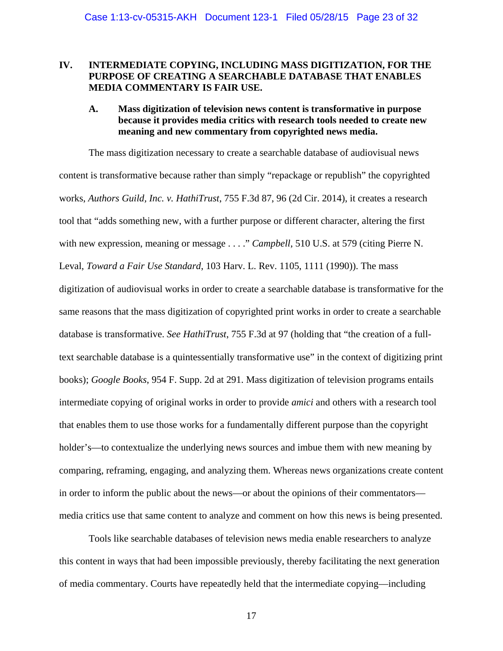## **IV. INTERMEDIATE COPYING, INCLUDING MASS DIGITIZATION, FOR THE PURPOSE OF CREATING A SEARCHABLE DATABASE THAT ENABLES MEDIA COMMENTARY IS FAIR USE.**

## **A. Mass digitization of television news content is transformative in purpose because it provides media critics with research tools needed to create new meaning and new commentary from copyrighted news media.**

The mass digitization necessary to create a searchable database of audiovisual news content is transformative because rather than simply "repackage or republish" the copyrighted works, *Authors Guild, Inc. v. HathiTrust*, 755 F.3d 87, 96 (2d Cir. 2014), it creates a research tool that "adds something new, with a further purpose or different character, altering the first with new expression, meaning or message . . . ." *Campbell*, 510 U.S. at 579 (citing Pierre N. Leval, *Toward a Fair Use Standard*, 103 Harv. L. Rev. 1105, 1111 (1990)). The mass digitization of audiovisual works in order to create a searchable database is transformative for the same reasons that the mass digitization of copyrighted print works in order to create a searchable database is transformative. *See HathiTrust*, 755 F.3d at 97 (holding that "the creation of a fulltext searchable database is a quintessentially transformative use" in the context of digitizing print books); *Google Books*, 954 F. Supp. 2d at 291. Mass digitization of television programs entails intermediate copying of original works in order to provide *amici* and others with a research tool that enables them to use those works for a fundamentally different purpose than the copyright holder's—to contextualize the underlying news sources and imbue them with new meaning by comparing, reframing, engaging, and analyzing them. Whereas news organizations create content in order to inform the public about the news—or about the opinions of their commentators media critics use that same content to analyze and comment on how this news is being presented.

Tools like searchable databases of television news media enable researchers to analyze this content in ways that had been impossible previously, thereby facilitating the next generation of media commentary. Courts have repeatedly held that the intermediate copying—including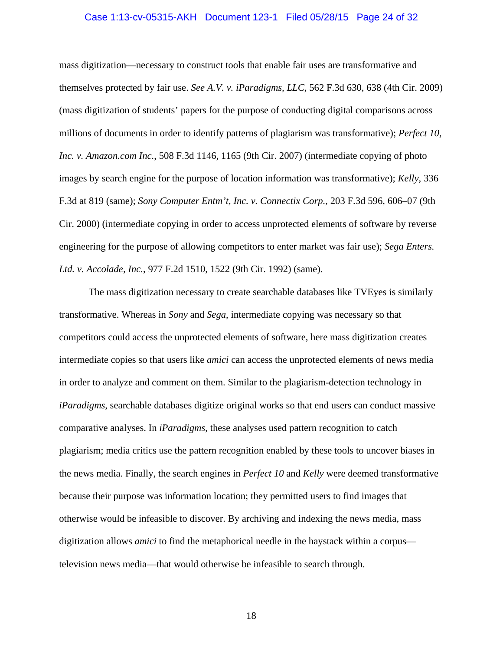#### Case 1:13-cv-05315-AKH Document 123-1 Filed 05/28/15 Page 24 of 32

mass digitization—necessary to construct tools that enable fair uses are transformative and themselves protected by fair use. *See A.V. v. iParadigms, LLC*, 562 F.3d 630, 638 (4th Cir. 2009) (mass digitization of students' papers for the purpose of conducting digital comparisons across millions of documents in order to identify patterns of plagiarism was transformative); *Perfect 10, Inc. v. Amazon.com Inc.*, 508 F.3d 1146, 1165 (9th Cir. 2007) (intermediate copying of photo images by search engine for the purpose of location information was transformative); *Kelly*, 336 F.3d at 819 (same); *Sony Computer Entm't, Inc. v. Connectix Corp.*, 203 F.3d 596, 606–07 (9th Cir. 2000) (intermediate copying in order to access unprotected elements of software by reverse engineering for the purpose of allowing competitors to enter market was fair use); *Sega Enters. Ltd. v. Accolade, Inc.*, 977 F.2d 1510, 1522 (9th Cir. 1992) (same).

The mass digitization necessary to create searchable databases like TVEyes is similarly transformative. Whereas in *Sony* and *Sega*, intermediate copying was necessary so that competitors could access the unprotected elements of software, here mass digitization creates intermediate copies so that users like *amici* can access the unprotected elements of news media in order to analyze and comment on them. Similar to the plagiarism-detection technology in *iParadigms*, searchable databases digitize original works so that end users can conduct massive comparative analyses. In *iParadigms*, these analyses used pattern recognition to catch plagiarism; media critics use the pattern recognition enabled by these tools to uncover biases in the news media. Finally, the search engines in *Perfect 10* and *Kelly* were deemed transformative because their purpose was information location; they permitted users to find images that otherwise would be infeasible to discover. By archiving and indexing the news media, mass digitization allows *amici* to find the metaphorical needle in the haystack within a corpus television news media—that would otherwise be infeasible to search through.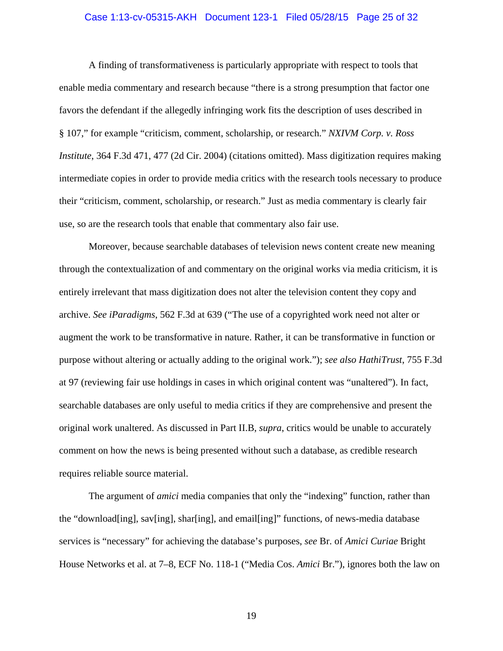#### Case 1:13-cv-05315-AKH Document 123-1 Filed 05/28/15 Page 25 of 32

A finding of transformativeness is particularly appropriate with respect to tools that enable media commentary and research because "there is a strong presumption that factor one favors the defendant if the allegedly infringing work fits the description of uses described in § 107," for example "criticism, comment, scholarship, or research." *NXIVM Corp. v. Ross Institute*, 364 F.3d 471, 477 (2d Cir. 2004) (citations omitted). Mass digitization requires making intermediate copies in order to provide media critics with the research tools necessary to produce their "criticism, comment, scholarship, or research." Just as media commentary is clearly fair use, so are the research tools that enable that commentary also fair use.

Moreover, because searchable databases of television news content create new meaning through the contextualization of and commentary on the original works via media criticism, it is entirely irrelevant that mass digitization does not alter the television content they copy and archive. *See iParadigms*, 562 F.3d at 639 ("The use of a copyrighted work need not alter or augment the work to be transformative in nature. Rather, it can be transformative in function or purpose without altering or actually adding to the original work."); *see also HathiTrust*, 755 F.3d at 97 (reviewing fair use holdings in cases in which original content was "unaltered"). In fact, searchable databases are only useful to media critics if they are comprehensive and present the original work unaltered. As discussed in Part II.B, *supra*, critics would be unable to accurately comment on how the news is being presented without such a database, as credible research requires reliable source material.

The argument of *amici* media companies that only the "indexing" function, rather than the "download[ing], sav[ing], shar[ing], and email[ing]" functions, of news-media database services is "necessary" for achieving the database's purposes, *see* Br. of *Amici Curiae* Bright House Networks et al. at 7–8, ECF No. 118-1 ("Media Cos. *Amici* Br."), ignores both the law on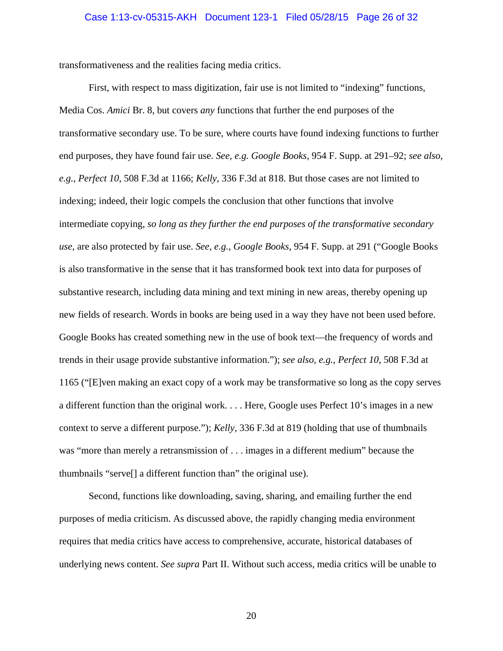#### Case 1:13-cv-05315-AKH Document 123-1 Filed 05/28/15 Page 26 of 32

transformativeness and the realities facing media critics.

First, with respect to mass digitization, fair use is not limited to "indexing" functions, Media Cos. *Amici* Br. 8, but covers *any* functions that further the end purposes of the transformative secondary use. To be sure, where courts have found indexing functions to further end purposes, they have found fair use. *See, e.g. Google Books*, 954 F. Supp. at 291–92; *see also, e.g.*, *Perfect 10*, 508 F.3d at 1166; *Kelly*, 336 F.3d at 818. But those cases are not limited to indexing; indeed, their logic compels the conclusion that other functions that involve intermediate copying, *so long as they further the end purposes of the transformative secondary use*, are also protected by fair use. *See, e.g.*, *Google Books*, 954 F. Supp. at 291 ("Google Books is also transformative in the sense that it has transformed book text into data for purposes of substantive research, including data mining and text mining in new areas, thereby opening up new fields of research. Words in books are being used in a way they have not been used before. Google Books has created something new in the use of book text—the frequency of words and trends in their usage provide substantive information."); *see also, e.g.*, *Perfect 10*, 508 F.3d at 1165 ("[E]ven making an exact copy of a work may be transformative so long as the copy serves a different function than the original work. . . . Here, Google uses Perfect 10's images in a new context to serve a different purpose."); *Kelly*, 336 F.3d at 819 (holding that use of thumbnails was "more than merely a retransmission of . . . images in a different medium" because the thumbnails "serve[] a different function than" the original use).

Second, functions like downloading, saving, sharing, and emailing further the end purposes of media criticism. As discussed above, the rapidly changing media environment requires that media critics have access to comprehensive, accurate, historical databases of underlying news content. *See supra* Part II. Without such access, media critics will be unable to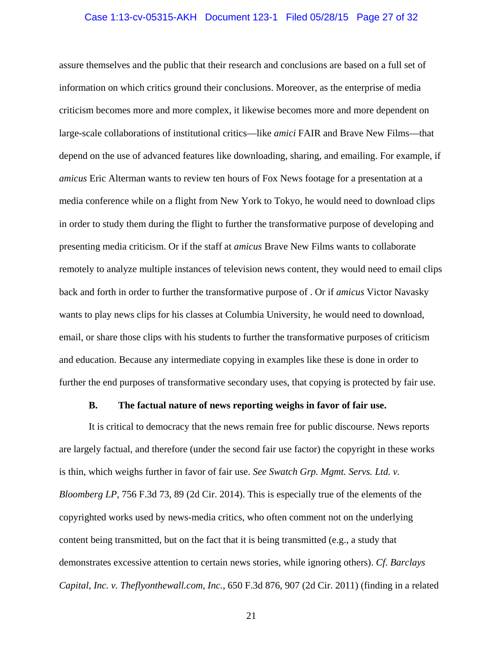#### Case 1:13-cv-05315-AKH Document 123-1 Filed 05/28/15 Page 27 of 32

assure themselves and the public that their research and conclusions are based on a full set of information on which critics ground their conclusions. Moreover, as the enterprise of media criticism becomes more and more complex, it likewise becomes more and more dependent on large-scale collaborations of institutional critics—like *amici* FAIR and Brave New Films—that depend on the use of advanced features like downloading, sharing, and emailing. For example, if *amicus* Eric Alterman wants to review ten hours of Fox News footage for a presentation at a media conference while on a flight from New York to Tokyo, he would need to download clips in order to study them during the flight to further the transformative purpose of developing and presenting media criticism. Or if the staff at *amicus* Brave New Films wants to collaborate remotely to analyze multiple instances of television news content, they would need to email clips back and forth in order to further the transformative purpose of . Or if *amicus* Victor Navasky wants to play news clips for his classes at Columbia University, he would need to download, email, or share those clips with his students to further the transformative purposes of criticism and education. Because any intermediate copying in examples like these is done in order to further the end purposes of transformative secondary uses, that copying is protected by fair use.

#### **B. The factual nature of news reporting weighs in favor of fair use.**

It is critical to democracy that the news remain free for public discourse. News reports are largely factual, and therefore (under the second fair use factor) the copyright in these works is thin, which weighs further in favor of fair use. *See Swatch Grp. Mgmt. Servs. Ltd. v. Bloomberg LP*, 756 F.3d 73, 89 (2d Cir. 2014). This is especially true of the elements of the copyrighted works used by news-media critics, who often comment not on the underlying content being transmitted, but on the fact that it is being transmitted (e.g., a study that demonstrates excessive attention to certain news stories, while ignoring others). *Cf*. *Barclays Capital, Inc. v. Theflyonthewall.com, Inc.*, 650 F.3d 876, 907 (2d Cir. 2011) (finding in a related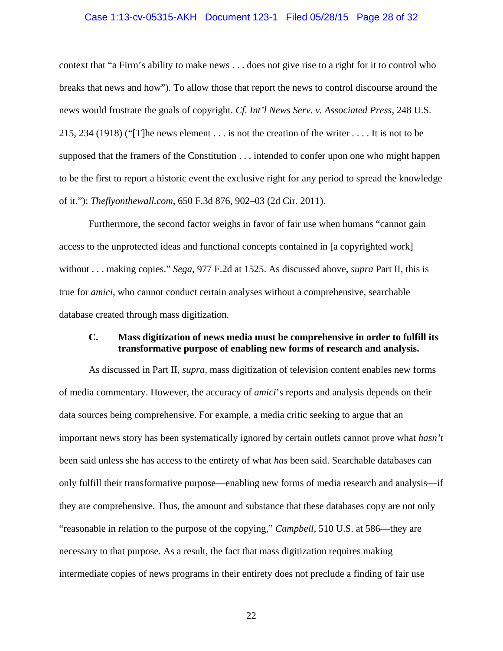#### Case 1:13-cv-05315-AKH Document 123-1 Filed 05/28/15 Page 28 of 32

context that "a Firm's ability to make news . . . does not give rise to a right for it to control who breaks that news and how"). To allow those that report the news to control discourse around the news would frustrate the goals of copyright. *Cf. Int'l News Serv. v. Associated Press*, 248 U.S. 215, 234 (1918) ("[T]he news element . . . is not the creation of the writer . . . . It is not to be supposed that the framers of the Constitution . . . intended to confer upon one who might happen to be the first to report a historic event the exclusive right for any period to spread the knowledge of it."); *Theflyonthewall.com*, 650 F.3d 876, 902–03 (2d Cir. 2011).

Furthermore, the second factor weighs in favor of fair use when humans "cannot gain access to the unprotected ideas and functional concepts contained in [a copyrighted work] without . . . making copies." *Sega*, 977 F.2d at 1525. As discussed above, *supra* Part II, this is true for *amici*, who cannot conduct certain analyses without a comprehensive, searchable database created through mass digitization.

## **C. Mass digitization of news media must be comprehensive in order to fulfill its transformative purpose of enabling new forms of research and analysis.**

As discussed in Part II, *supra*, mass digitization of television content enables new forms of media commentary. However, the accuracy of *amici*'s reports and analysis depends on their data sources being comprehensive. For example, a media critic seeking to argue that an important news story has been systematically ignored by certain outlets cannot prove what *hasn't*  been said unless she has access to the entirety of what *has* been said. Searchable databases can only fulfill their transformative purpose—enabling new forms of media research and analysis—if they are comprehensive. Thus, the amount and substance that these databases copy are not only "reasonable in relation to the purpose of the copying," *Campbell*, 510 U.S. at 586—they are necessary to that purpose. As a result, the fact that mass digitization requires making intermediate copies of news programs in their entirety does not preclude a finding of fair use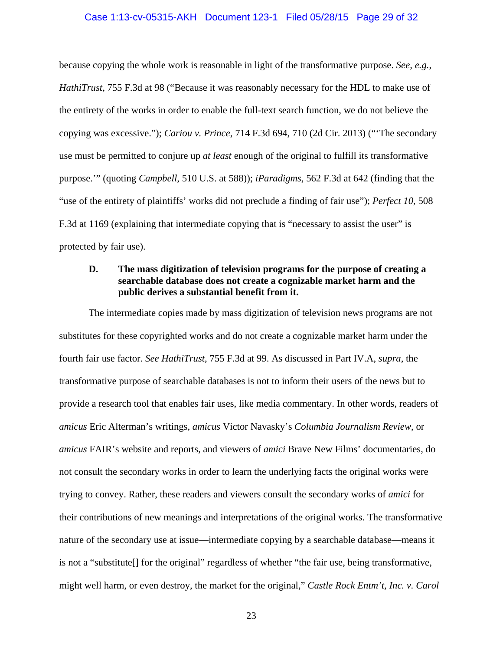#### Case 1:13-cv-05315-AKH Document 123-1 Filed 05/28/15 Page 29 of 32

because copying the whole work is reasonable in light of the transformative purpose. *See, e.g.*, *HathiTrust*, 755 F.3d at 98 ("Because it was reasonably necessary for the HDL to make use of the entirety of the works in order to enable the full-text search function, we do not believe the copying was excessive."); *Cariou v. Prince*, 714 F.3d 694, 710 (2d Cir. 2013) ("'The secondary use must be permitted to conjure up *at least* enough of the original to fulfill its transformative purpose.'" (quoting *Campbell*, 510 U.S. at 588)); *iParadigms*, 562 F.3d at 642 (finding that the "use of the entirety of plaintiffs' works did not preclude a finding of fair use"); *Perfect 10*, 508 F.3d at 1169 (explaining that intermediate copying that is "necessary to assist the user" is protected by fair use).

## **D. The mass digitization of television programs for the purpose of creating a searchable database does not create a cognizable market harm and the public derives a substantial benefit from it.**

The intermediate copies made by mass digitization of television news programs are not substitutes for these copyrighted works and do not create a cognizable market harm under the fourth fair use factor. *See HathiTrust*, 755 F.3d at 99. As discussed in Part IV.A, *supra*, the transformative purpose of searchable databases is not to inform their users of the news but to provide a research tool that enables fair uses, like media commentary. In other words, readers of *amicus* Eric Alterman's writings, *amicus* Victor Navasky's *Columbia Journalism Review*, or *amicus* FAIR's website and reports, and viewers of *amici* Brave New Films' documentaries, do not consult the secondary works in order to learn the underlying facts the original works were trying to convey. Rather, these readers and viewers consult the secondary works of *amici* for their contributions of new meanings and interpretations of the original works. The transformative nature of the secondary use at issue—intermediate copying by a searchable database—means it is not a "substitute[] for the original" regardless of whether "the fair use, being transformative, might well harm, or even destroy, the market for the original," *Castle Rock Entm't, Inc. v. Carol*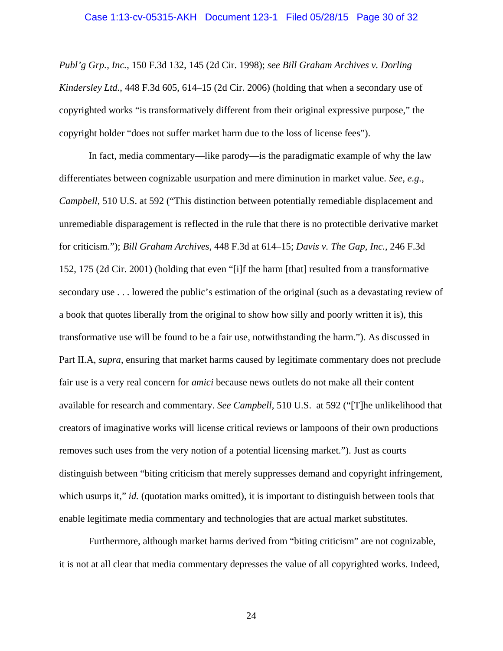*Publ'g Grp., Inc.*, 150 F.3d 132, 145 (2d Cir. 1998); *see Bill Graham Archives v. Dorling Kindersley Ltd.*, 448 F.3d 605, 614–15 (2d Cir. 2006) (holding that when a secondary use of copyrighted works "is transformatively different from their original expressive purpose," the copyright holder "does not suffer market harm due to the loss of license fees").

In fact, media commentary—like parody—is the paradigmatic example of why the law differentiates between cognizable usurpation and mere diminution in market value. *See, e.g.*, *Campbell*, 510 U.S. at 592 ("This distinction between potentially remediable displacement and unremediable disparagement is reflected in the rule that there is no protectible derivative market for criticism."); *Bill Graham Archives*, 448 F.3d at 614–15; *Davis v. The Gap, Inc.*, 246 F.3d 152, 175 (2d Cir. 2001) (holding that even "[i]f the harm [that] resulted from a transformative secondary use . . . lowered the public's estimation of the original (such as a devastating review of a book that quotes liberally from the original to show how silly and poorly written it is), this transformative use will be found to be a fair use, notwithstanding the harm."). As discussed in Part II.A, *supra*, ensuring that market harms caused by legitimate commentary does not preclude fair use is a very real concern for *amici* because news outlets do not make all their content available for research and commentary. *See Campbell*, 510 U.S. at 592 ("[T]he unlikelihood that creators of imaginative works will license critical reviews or lampoons of their own productions removes such uses from the very notion of a potential licensing market."). Just as courts distinguish between "biting criticism that merely suppresses demand and copyright infringement, which usurps it," *id.* (quotation marks omitted), it is important to distinguish between tools that enable legitimate media commentary and technologies that are actual market substitutes.

Furthermore, although market harms derived from "biting criticism" are not cognizable, it is not at all clear that media commentary depresses the value of all copyrighted works. Indeed,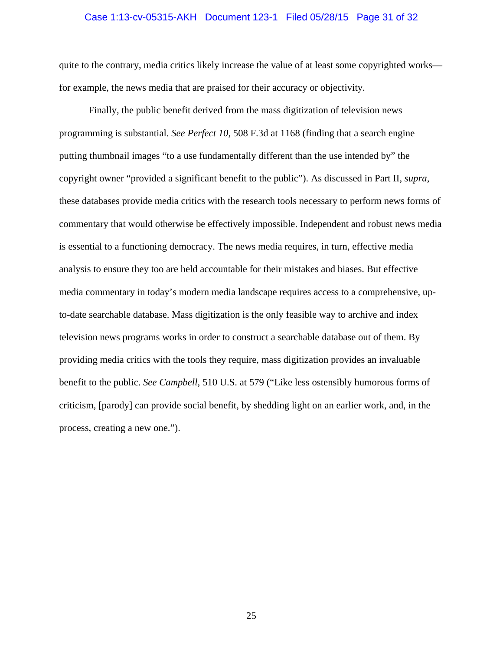#### Case 1:13-cv-05315-AKH Document 123-1 Filed 05/28/15 Page 31 of 32

quite to the contrary, media critics likely increase the value of at least some copyrighted works for example, the news media that are praised for their accuracy or objectivity.

Finally, the public benefit derived from the mass digitization of television news programming is substantial. *See Perfect 10*, 508 F.3d at 1168 (finding that a search engine putting thumbnail images "to a use fundamentally different than the use intended by" the copyright owner "provided a significant benefit to the public"). As discussed in Part II, *supra*, these databases provide media critics with the research tools necessary to perform news forms of commentary that would otherwise be effectively impossible. Independent and robust news media is essential to a functioning democracy. The news media requires, in turn, effective media analysis to ensure they too are held accountable for their mistakes and biases. But effective media commentary in today's modern media landscape requires access to a comprehensive, upto-date searchable database. Mass digitization is the only feasible way to archive and index television news programs works in order to construct a searchable database out of them. By providing media critics with the tools they require, mass digitization provides an invaluable benefit to the public. *See Campbell*, 510 U.S. at 579 ("Like less ostensibly humorous forms of criticism, [parody] can provide social benefit, by shedding light on an earlier work, and, in the process, creating a new one.").